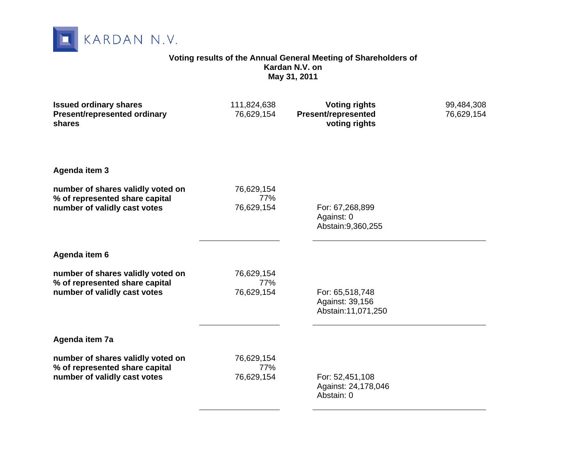

#### **Voting results of the Annual General Meeting of Shareholders of Kardan N.V. on May 31, 2011**

| <b>Issued ordinary shares</b><br>Present/represented ordinary<br>shares                             | 111,824,638<br>76,629,154       | <b>Voting rights</b><br>Present/represented<br>voting rights | 99,484,308<br>76,629,154 |
|-----------------------------------------------------------------------------------------------------|---------------------------------|--------------------------------------------------------------|--------------------------|
| Agenda item 3                                                                                       |                                 |                                                              |                          |
| number of shares validly voted on<br>% of represented share capital<br>number of validly cast votes | 76,629,154<br>77%<br>76,629,154 | For: 67,268,899<br>Against: 0<br>Abstain: 9, 360, 255        |                          |
| Agenda item 6                                                                                       |                                 |                                                              |                          |
| number of shares validly voted on<br>% of represented share capital<br>number of validly cast votes | 76,629,154<br>77%<br>76,629,154 | For: 65,518,748<br>Against: 39,156<br>Abstain:11,071,250     |                          |
| Agenda item 7a                                                                                      |                                 |                                                              |                          |
| number of shares validly voted on<br>% of represented share capital<br>number of validly cast votes | 76,629,154<br>77%<br>76,629,154 | For: 52,451,108<br>Against: 24,178,046<br>Abstain: 0         |                          |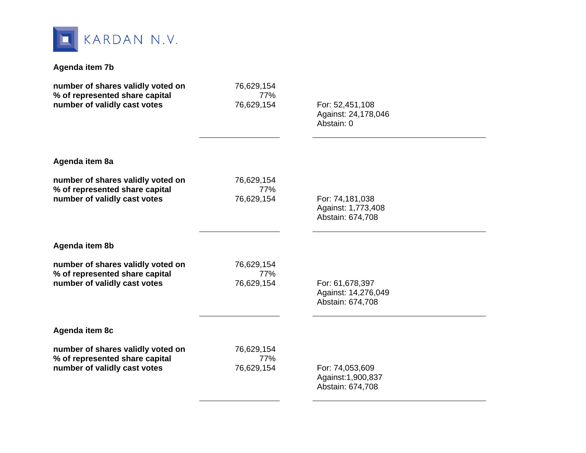

### **Agenda item 7b**

| number of shares validly voted on | 76,629,154 | For: 52,451,108     |  |
|-----------------------------------|------------|---------------------|--|
| % of represented share capital    | 77%        | Against: 24,178,046 |  |
| number of validly cast votes      | 76,629,154 | Abstain: 0          |  |
| Agenda item 8a                    |            |                     |  |
| number of shares validly voted on | 76,629,154 | For: 74,181,038     |  |
| % of represented share capital    | 77%        | Against: 1,773,408  |  |
| number of validly cast votes      | 76,629,154 | Abstain: 674,708    |  |
| Agenda item 8b                    |            |                     |  |
| number of shares validly voted on | 76,629,154 | For: 61,678,397     |  |
| % of represented share capital    | 77%        | Against: 14,276,049 |  |
| number of validly cast votes      | 76,629,154 | Abstain: 674,708    |  |
| Agenda item 8c                    |            |                     |  |
| number of shares validly voted on | 76,629,154 | For: 74,053,609     |  |
| % of represented share capital    | 77%        | Against: 1,900,837  |  |
| number of validly cast votes      | 76,629,154 | Abstain: 674,708    |  |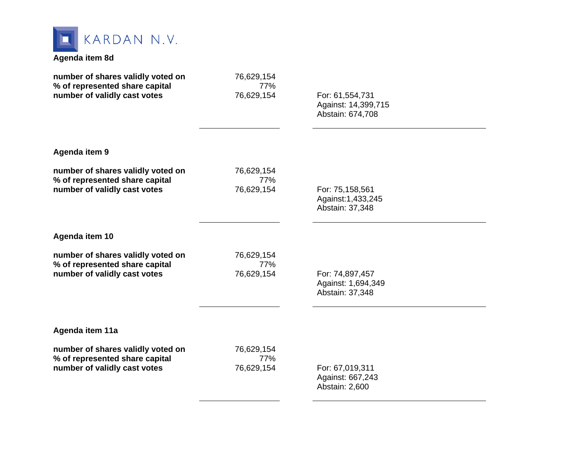

### **Agenda item 8d**

| number of shares validly voted on | 76,629,154 | For: 61,554,731     |  |
|-----------------------------------|------------|---------------------|--|
| % of represented share capital    | 77%        | Against: 14,399,715 |  |
| number of validly cast votes      | 76,629,154 | Abstain: 674,708    |  |
| Agenda item 9                     |            |                     |  |
| number of shares validly voted on | 76,629,154 | For: 75,158,561     |  |
| % of represented share capital    | 77%        | Against: 1,433,245  |  |
| number of validly cast votes      | 76,629,154 | Abstain: 37,348     |  |
| Agenda item 10                    |            |                     |  |
| number of shares validly voted on | 76,629,154 | For: 74,897,457     |  |
| % of represented share capital    | 77%        | Against: 1,694,349  |  |
| number of validly cast votes      | 76,629,154 | Abstain: 37,348     |  |
| Agenda item 11a                   |            |                     |  |
| number of shares validly voted on | 76,629,154 | For: 67,019,311     |  |
| % of represented share capital    | 77%        | Against: 667,243    |  |
| number of validly cast votes      | 76,629,154 | Abstain: 2,600      |  |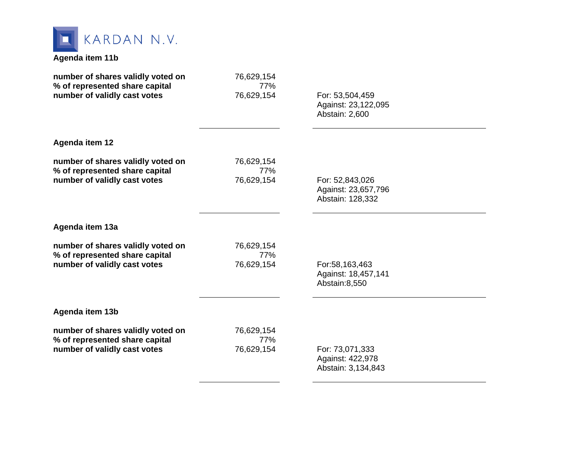

# **Agenda item 11b**

| number of shares validly voted on<br>% of represented share capital | 76,629,154<br>77% |                                                            |  |
|---------------------------------------------------------------------|-------------------|------------------------------------------------------------|--|
| number of validly cast votes                                        | 76,629,154        | For: 53,504,459<br>Against: 23,122,095<br>Abstain: 2,600   |  |
| <b>Agenda item 12</b>                                               |                   |                                                            |  |
| number of shares validly voted on<br>% of represented share capital | 76,629,154<br>77% |                                                            |  |
| number of validly cast votes                                        | 76,629,154        | For: 52,843,026<br>Against: 23,657,796<br>Abstain: 128,332 |  |
| Agenda item 13a                                                     |                   |                                                            |  |
| number of shares validly voted on<br>% of represented share capital | 76,629,154<br>77% |                                                            |  |
| number of validly cast votes                                        | 76,629,154        | For:58,163,463<br>Against: 18,457,141<br>Abstain:8,550     |  |
| Agenda item 13b                                                     |                   |                                                            |  |
| number of shares validly voted on<br>% of represented share capital | 76,629,154<br>77% |                                                            |  |
| number of validly cast votes                                        | 76,629,154        | For: 73,071,333<br>Against: 422,978<br>Abstain: 3,134,843  |  |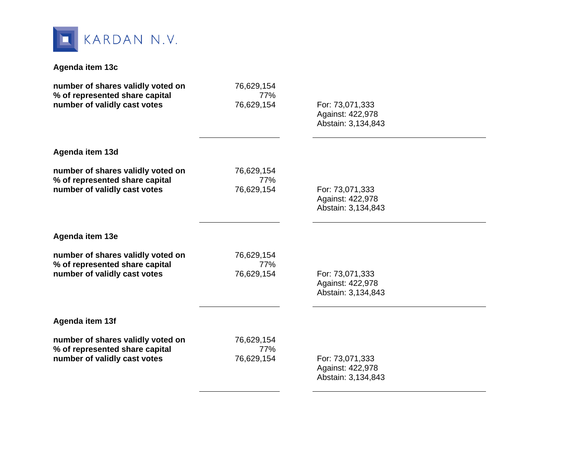

### **Agenda item 13c**

| number of shares validly voted on                              | 76,629,154        |                                     |  |
|----------------------------------------------------------------|-------------------|-------------------------------------|--|
| % of represented share capital<br>number of validly cast votes | 77%<br>76,629,154 | For: 73,071,333                     |  |
|                                                                |                   | Against: 422,978                    |  |
|                                                                |                   | Abstain: 3,134,843                  |  |
| Agenda item 13d                                                |                   |                                     |  |
| number of shares validly voted on                              | 76,629,154        |                                     |  |
| % of represented share capital<br>number of validly cast votes | 77%<br>76,629,154 | For: 73,071,333                     |  |
|                                                                |                   | Against: 422,978                    |  |
|                                                                |                   | Abstain: 3,134,843                  |  |
| Agenda item 13e                                                |                   |                                     |  |
| number of shares validly voted on                              | 76,629,154        |                                     |  |
| % of represented share capital                                 | 77%               |                                     |  |
| number of validly cast votes                                   | 76,629,154        | For: 73,071,333<br>Against: 422,978 |  |
|                                                                |                   | Abstain: 3,134,843                  |  |
| Agenda item 13f                                                |                   |                                     |  |
| number of shares validly voted on                              | 76,629,154        |                                     |  |
| % of represented share capital                                 | 77%               |                                     |  |
| number of validly cast votes                                   | 76,629,154        | For: 73,071,333<br>Against: 422,978 |  |
|                                                                |                   | Abstain: 3,134,843                  |  |
|                                                                |                   |                                     |  |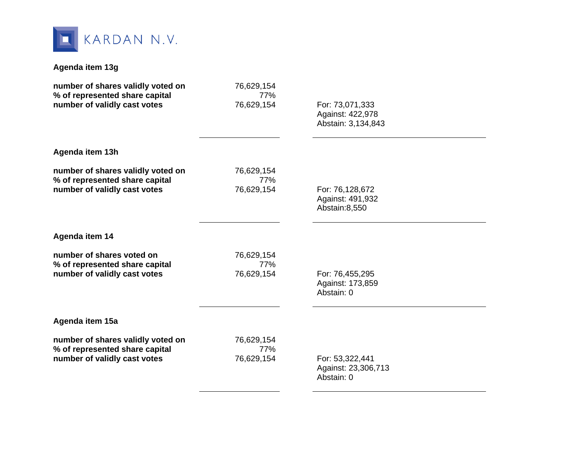

# **Agenda item 13g**

| number of shares validly voted on                              | 76,629,154<br>77% |                                        |  |
|----------------------------------------------------------------|-------------------|----------------------------------------|--|
| % of represented share capital<br>number of validly cast votes | 76,629,154        | For: 73,071,333                        |  |
|                                                                |                   | Against: 422,978                       |  |
|                                                                |                   | Abstain: 3,134,843                     |  |
| Agenda item 13h                                                |                   |                                        |  |
| number of shares validly voted on                              | 76,629,154        |                                        |  |
| % of represented share capital<br>number of validly cast votes | 77%<br>76,629,154 | For: 76,128,672                        |  |
|                                                                |                   | Against: 491,932                       |  |
|                                                                |                   | Abstain:8,550                          |  |
|                                                                |                   |                                        |  |
| Agenda item 14                                                 |                   |                                        |  |
| number of shares voted on                                      | 76,629,154        |                                        |  |
| % of represented share capital                                 | 77%               |                                        |  |
| number of validly cast votes                                   | 76,629,154        | For: 76,455,295<br>Against: 173,859    |  |
|                                                                |                   | Abstain: 0                             |  |
|                                                                |                   |                                        |  |
| Agenda item 15a                                                |                   |                                        |  |
| number of shares validly voted on                              | 76,629,154        |                                        |  |
| % of represented share capital                                 | 77%               |                                        |  |
| number of validly cast votes                                   | 76,629,154        | For: 53,322,441<br>Against: 23,306,713 |  |
|                                                                |                   | Abstain: 0                             |  |
|                                                                |                   |                                        |  |